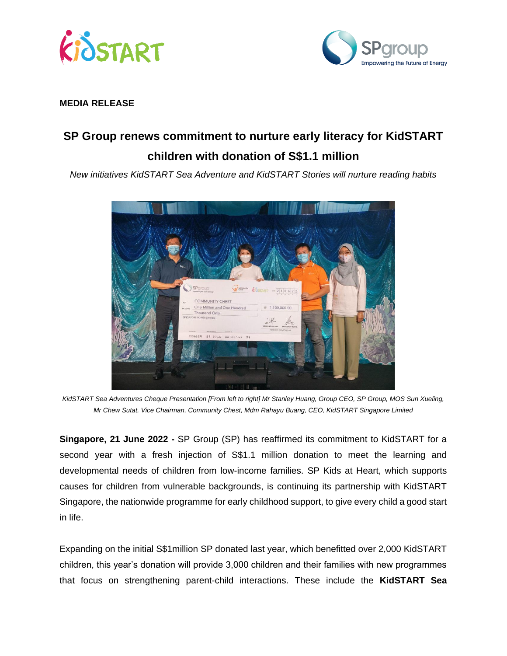



## **MEDIA RELEASE**

## **SP Group renews commitment to nurture early literacy for KidSTART children with donation of S\$1.1 million**

*New initiatives KidSTART Sea Adventure and KidSTART Stories will nurture reading habits* 



*KidSTART Sea Adventures Cheque Presentation [From left to right] Mr Stanley Huang, Group CEO, SP Group, MOS Sun Xueling, Mr Chew Sutat, Vice Chairman, Community Chest, Mdm Rahayu Buang, CEO, KidSTART Singapore Limited*

**Singapore, 21 June 2022 -** SP Group (SP) has reaffirmed its commitment to KidSTART for a second year with a fresh injection of S\$1.1 million donation to meet the learning and developmental needs of children from low-income families. SP Kids at Heart, which supports causes for children from vulnerable backgrounds, is continuing its partnership with KidSTART Singapore, the nationwide programme for early childhood support, to give every child a good start in life.

Expanding on the initial S\$1million SP donated last year, which benefitted over 2,000 KidSTART children, this year's donation will provide 3,000 children and their families with new programmes that focus on strengthening parent-child interactions. These include the **KidSTART Sea**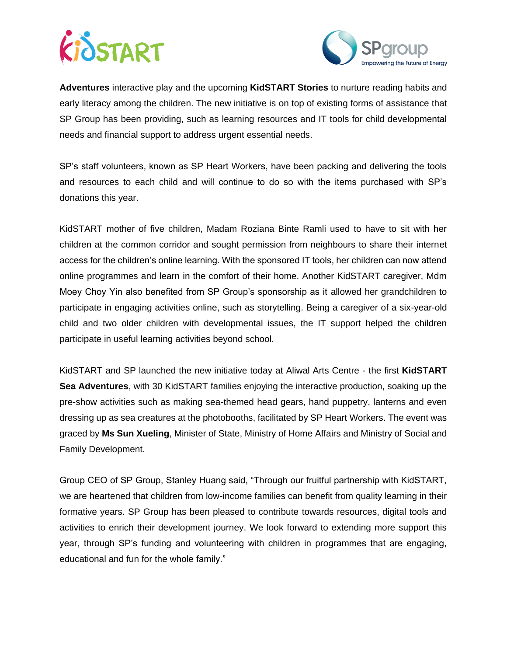



**Adventures** interactive play and the upcoming **KidSTART Stories** to nurture reading habits and early literacy among the children. The new initiative is on top of existing forms of assistance that SP Group has been providing, such as learning resources and IT tools for child developmental needs and financial support to address urgent essential needs.

SP's staff volunteers, known as SP Heart Workers, have been packing and delivering the tools and resources to each child and will continue to do so with the items purchased with SP's donations this year.

KidSTART mother of five children, Madam Roziana Binte Ramli used to have to sit with her children at the common corridor and sought permission from neighbours to share their internet access for the children's online learning. With the sponsored IT tools, her children can now attend online programmes and learn in the comfort of their home. Another KidSTART caregiver, Mdm Moey Choy Yin also benefited from SP Group's sponsorship as it allowed her grandchildren to participate in engaging activities online, such as storytelling. Being a caregiver of a six-year-old child and two older children with developmental issues, the IT support helped the children participate in useful learning activities beyond school.

KidSTART and SP launched the new initiative today at Aliwal Arts Centre - the first **KidSTART Sea Adventures**, with 30 KidSTART families enjoying the interactive production, soaking up the pre-show activities such as making sea-themed head gears, hand puppetry, lanterns and even dressing up as sea creatures at the photobooths, facilitated by SP Heart Workers. The event was graced by **Ms Sun Xueling**, Minister of State, Ministry of Home Affairs and Ministry of Social and Family Development.

Group CEO of SP Group, Stanley Huang said, "Through our fruitful partnership with KidSTART, we are heartened that children from low-income families can benefit from quality learning in their formative years. SP Group has been pleased to contribute towards resources, digital tools and activities to enrich their development journey. We look forward to extending more support this year, through SP's funding and volunteering with children in programmes that are engaging, educational and fun for the whole family."